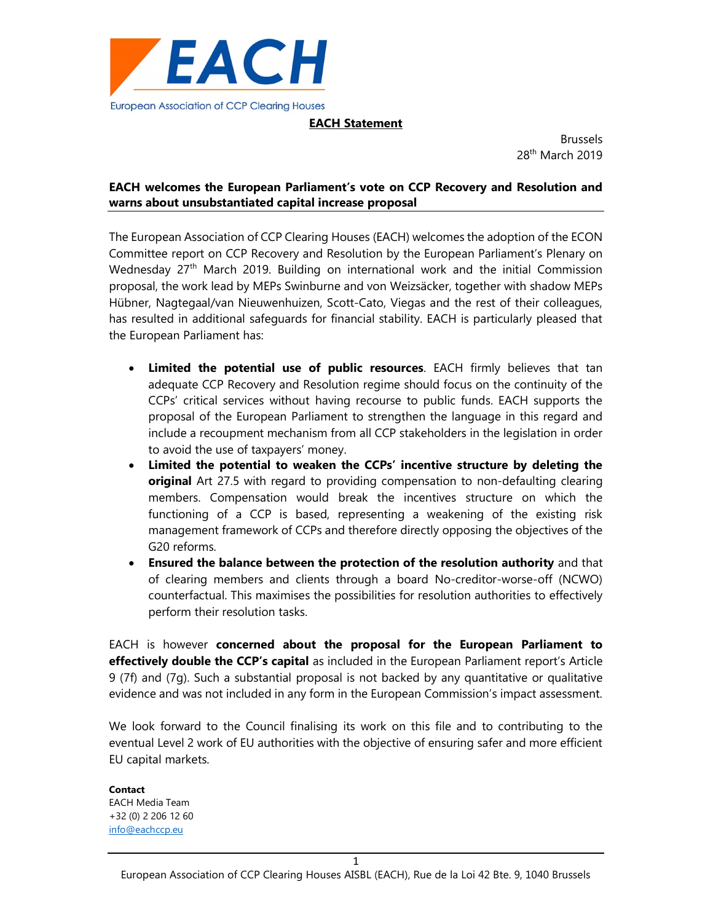

## EACH Statement

Brussels 28<sup>th</sup> March 2019

# EACH welcomes the European Parliament's vote on CCP Recovery and Resolution and warns about unsubstantiated capital increase proposal

The European Association of CCP Clearing Houses (EACH) welcomes the adoption of the ECON Committee report on CCP Recovery and Resolution by the European Parliament's Plenary on Wednesday 27<sup>th</sup> March 2019. Building on international work and the initial Commission proposal, the work lead by MEPs Swinburne and von Weizsäcker, together with shadow MEPs Hübner, Nagtegaal/van Nieuwenhuizen, Scott-Cato, Viegas and the rest of their colleagues, has resulted in additional safeguards for financial stability. EACH is particularly pleased that the European Parliament has:

- Limited the potential use of public resources. EACH firmly believes that tan adequate CCP Recovery and Resolution regime should focus on the continuity of the CCPs' critical services without having recourse to public funds. EACH supports the proposal of the European Parliament to strengthen the language in this regard and include a recoupment mechanism from all CCP stakeholders in the legislation in order to avoid the use of taxpayers' money.
- Limited the potential to weaken the CCPs' incentive structure by deleting the original Art 27.5 with regard to providing compensation to non-defaulting clearing members. Compensation would break the incentives structure on which the functioning of a CCP is based, representing a weakening of the existing risk management framework of CCPs and therefore directly opposing the objectives of the G20 reforms.
- Ensured the balance between the protection of the resolution authority and that of clearing members and clients through a board No-creditor-worse-off (NCWO) counterfactual. This maximises the possibilities for resolution authorities to effectively perform their resolution tasks.

EACH is however concerned about the proposal for the European Parliament to effectively double the CCP's capital as included in the European Parliament report's Article 9 (7f) and (7g). Such a substantial proposal is not backed by any quantitative or qualitative evidence and was not included in any form in the European Commission's impact assessment.

We look forward to the Council finalising its work on this file and to contributing to the eventual Level 2 work of EU authorities with the objective of ensuring safer and more efficient EU capital markets.

Contact EACH Media Team +32 (0) 2 206 12 60 info@eachccp.eu